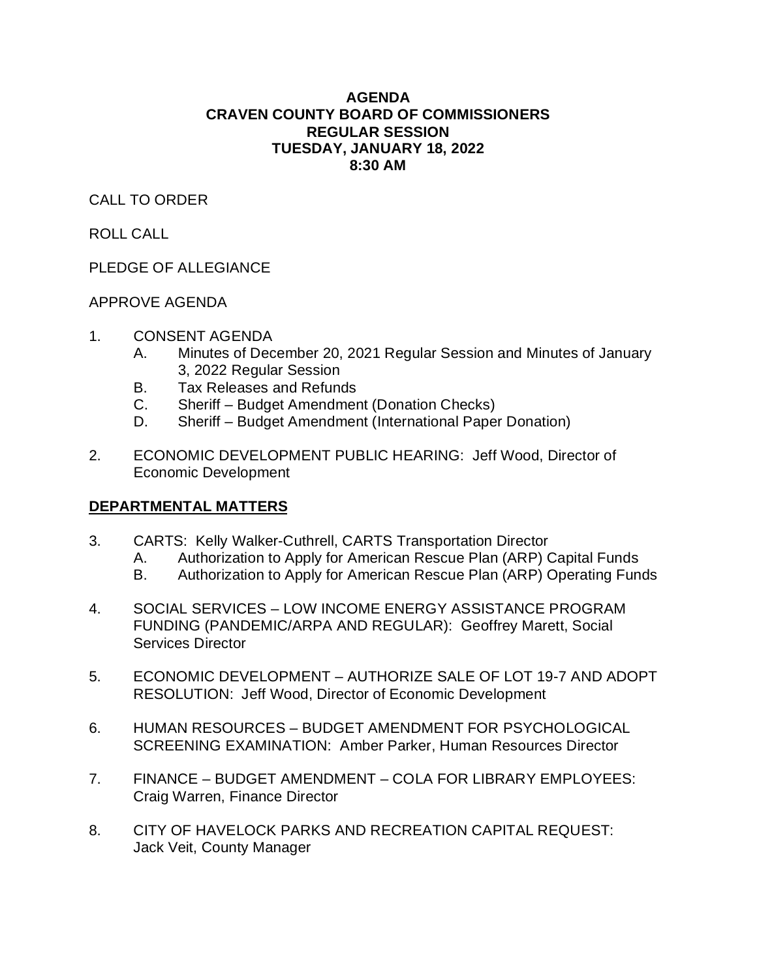## **AGENDA CRAVEN COUNTY BOARD OF COMMISSIONERS REGULAR SESSION TUESDAY, JANUARY 18, 2022 8:30 AM**

# CALL TO ORDER

# ROLL CALL

# PLEDGE OF ALLEGIANCE

# APPROVE AGENDA

- 1. CONSENT AGENDA
	- A. Minutes of December 20, 2021 Regular Session and Minutes of January 3, 2022 Regular Session
	- B. Tax Releases and Refunds
	- C. Sheriff Budget Amendment (Donation Checks)
	- D. Sheriff Budget Amendment (International Paper Donation)
- 2. ECONOMIC DEVELOPMENT PUBLIC HEARING: Jeff Wood, Director of Economic Development

# **DEPARTMENTAL MATTERS**

- 3. CARTS: Kelly Walker-Cuthrell, CARTS Transportation Director
	- A. Authorization to Apply for American Rescue Plan (ARP) Capital Funds
	- B. Authorization to Apply for American Rescue Plan (ARP) Operating Funds
- 4. SOCIAL SERVICES LOW INCOME ENERGY ASSISTANCE PROGRAM FUNDING (PANDEMIC/ARPA AND REGULAR): Geoffrey Marett, Social Services Director
- 5. ECONOMIC DEVELOPMENT AUTHORIZE SALE OF LOT 19-7 AND ADOPT RESOLUTION: Jeff Wood, Director of Economic Development
- 6. HUMAN RESOURCES BUDGET AMENDMENT FOR PSYCHOLOGICAL SCREENING EXAMINATION: Amber Parker, Human Resources Director
- 7. FINANCE BUDGET AMENDMENT COLA FOR LIBRARY EMPLOYEES: Craig Warren, Finance Director
- 8. CITY OF HAVELOCK PARKS AND RECREATION CAPITAL REQUEST: Jack Veit, County Manager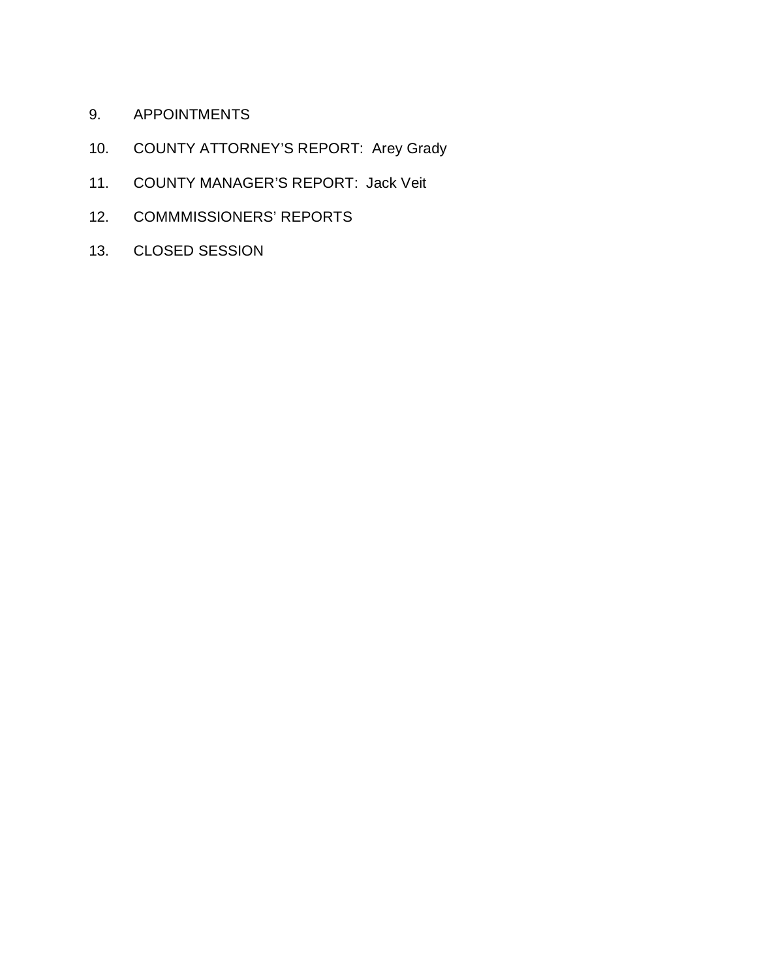- 9. APPOINTMENTS
- 10. COUNTY ATTORNEY'S REPORT: Arey Grady
- 11. COUNTY MANAGER'S REPORT: Jack Veit
- 12. COMMMISSIONERS' REPORTS
- 13. CLOSED SESSION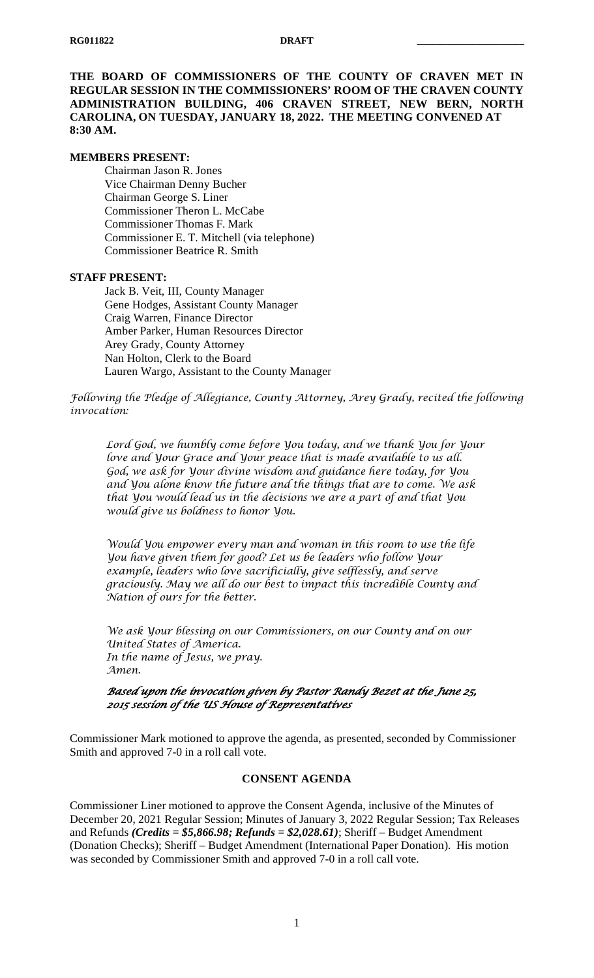**THE BOARD OF COMMISSIONERS OF THE COUNTY OF CRAVEN MET IN REGULAR SESSION IN THE COMMISSIONERS' ROOM OF THE CRAVEN COUNTY ADMINISTRATION BUILDING, 406 CRAVEN STREET, NEW BERN, NORTH CAROLINA, ON TUESDAY, JANUARY 18, 2022. THE MEETING CONVENED AT 8:30 AM.**

#### **MEMBERS PRESENT:**

Chairman Jason R. Jones Vice Chairman Denny Bucher Chairman George S. Liner Commissioner Theron L. McCabe Commissioner Thomas F. Mark Commissioner E. T. Mitchell (via telephone) Commissioner Beatrice R. Smith

#### **STAFF PRESENT:**

Jack B. Veit, III, County Manager Gene Hodges, Assistant County Manager Craig Warren, Finance Director Amber Parker, Human Resources Director Arey Grady, County Attorney Nan Holton, Clerk to the Board Lauren Wargo, Assistant to the County Manager

*Following the Pledge of Allegiance, County Attorney, Arey Grady, recited the following invocation:*

*Lord God, we humbly come before You today, and we thank You for Your love and Your Grace and Your peace that is made available to us all. God, we ask for Your divine wisdom and guidance here today, for You and You alone know the future and the things that are to come. We ask that You would lead us in the decisions we are a part of and that You would give us boldness to honor You.*

*Would You empower every man and woman in this room to use the life You have given them for good? Let us be leaders who follow Your example, leaders who love sacrificially, give selflessly, and serve graciously. May we all do our best to impact this incredible County and Nation of ours for the better.*

*We ask Your blessing on our Commissioners, on our County and on our United States of America. In the name of Jesus, we pray. Amen.*

## *Based upon the invocation given by Pastor Randy Bezet at the June 25, 2015 session of the US House of Representatives*

Commissioner Mark motioned to approve the agenda, as presented, seconded by Commissioner Smith and approved 7-0 in a roll call vote.

#### **CONSENT AGENDA**

Commissioner Liner motioned to approve the Consent Agenda, inclusive of the Minutes of December 20, 2021 Regular Session; Minutes of January 3, 2022 Regular Session; Tax Releases and Refunds *(Credits = \$5,866.98; Refunds = \$2,028.61)*; Sheriff – Budget Amendment (Donation Checks); Sheriff – Budget Amendment (International Paper Donation). His motion was seconded by Commissioner Smith and approved 7-0 in a roll call vote.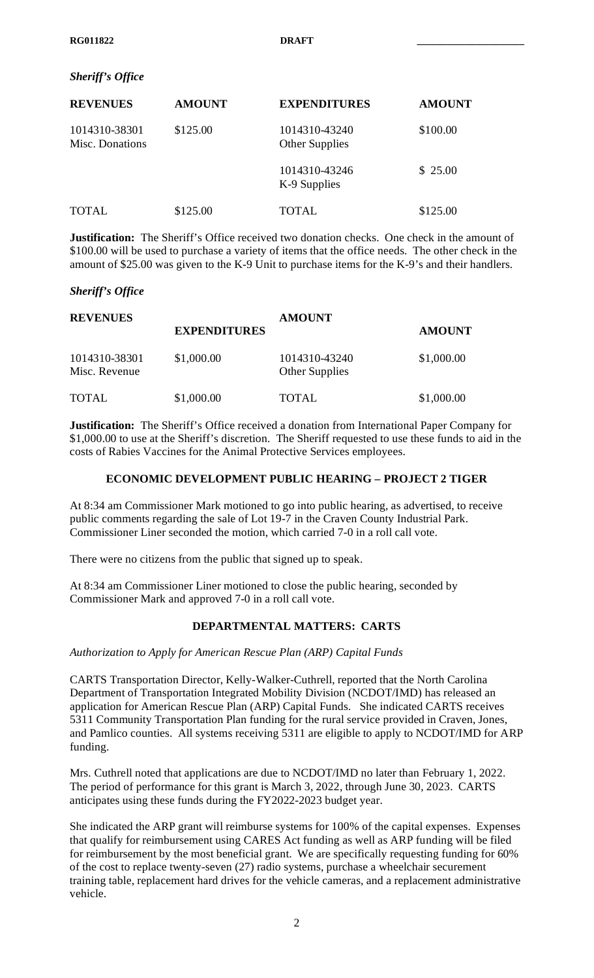## *Sheriff's Office*

| <b>REVENUES</b>                  | <b>AMOUNT</b> | <b>EXPENDITURES</b>                    | <b>AMOUNT</b> |
|----------------------------------|---------------|----------------------------------------|---------------|
| 1014310-38301<br>Misc. Donations | \$125.00      | 1014310-43240<br><b>Other Supplies</b> | \$100.00      |
|                                  |               | 1014310-43246<br>K-9 Supplies          | \$25.00       |
| <b>TOTAL</b>                     | \$125.00      | TOTAL                                  | \$125.00      |

**Justification:** The Sheriff's Office received two donation checks. One check in the amount of \$100.00 will be used to purchase a variety of items that the office needs. The other check in the amount of \$25.00 was given to the K-9 Unit to purchase items for the K-9's and their handlers.

### *Sheriff's Office*

| <b>REVENUES</b>                |                     | <b>AMOUNT</b>                          |               |  |
|--------------------------------|---------------------|----------------------------------------|---------------|--|
|                                | <b>EXPENDITURES</b> |                                        | <b>AMOUNT</b> |  |
| 1014310-38301<br>Misc. Revenue | \$1,000.00          | 1014310-43240<br><b>Other Supplies</b> | \$1,000.00    |  |
| <b>TOTAL</b>                   | \$1,000.00          | <b>TOTAL</b>                           | \$1,000.00    |  |

**Justification:** The Sheriff's Office received a donation from International Paper Company for \$1,000.00 to use at the Sheriff's discretion. The Sheriff requested to use these funds to aid in the costs of Rabies Vaccines for the Animal Protective Services employees.

### **ECONOMIC DEVELOPMENT PUBLIC HEARING – PROJECT 2 TIGER**

At 8:34 am Commissioner Mark motioned to go into public hearing, as advertised, to receive public comments regarding the sale of Lot 19-7 in the Craven County Industrial Park. Commissioner Liner seconded the motion, which carried 7-0 in a roll call vote.

There were no citizens from the public that signed up to speak.

At 8:34 am Commissioner Liner motioned to close the public hearing, seconded by Commissioner Mark and approved 7-0 in a roll call vote.

## **DEPARTMENTAL MATTERS: CARTS**

*Authorization to Apply for American Rescue Plan (ARP) Capital Funds*

CARTS Transportation Director, Kelly-Walker-Cuthrell, reported that the North Carolina Department of Transportation Integrated Mobility Division (NCDOT/IMD) has released an application for American Rescue Plan (ARP) Capital Funds. She indicated CARTS receives 5311 Community Transportation Plan funding for the rural service provided in Craven, Jones, and Pamlico counties. All systems receiving 5311 are eligible to apply to NCDOT/IMD for ARP funding.

Mrs. Cuthrell noted that applications are due to NCDOT/IMD no later than February 1, 2022. The period of performance for this grant is March 3, 2022, through June 30, 2023. CARTS anticipates using these funds during the FY2022-2023 budget year.

She indicated the ARP grant will reimburse systems for 100% of the capital expenses. Expenses that qualify for reimbursement using CARES Act funding as well as ARP funding will be filed for reimbursement by the most beneficial grant. We are specifically requesting funding for 60% of the cost to replace twenty-seven (27) radio systems, purchase a wheelchair securement training table, replacement hard drives for the vehicle cameras, and a replacement administrative vehicle.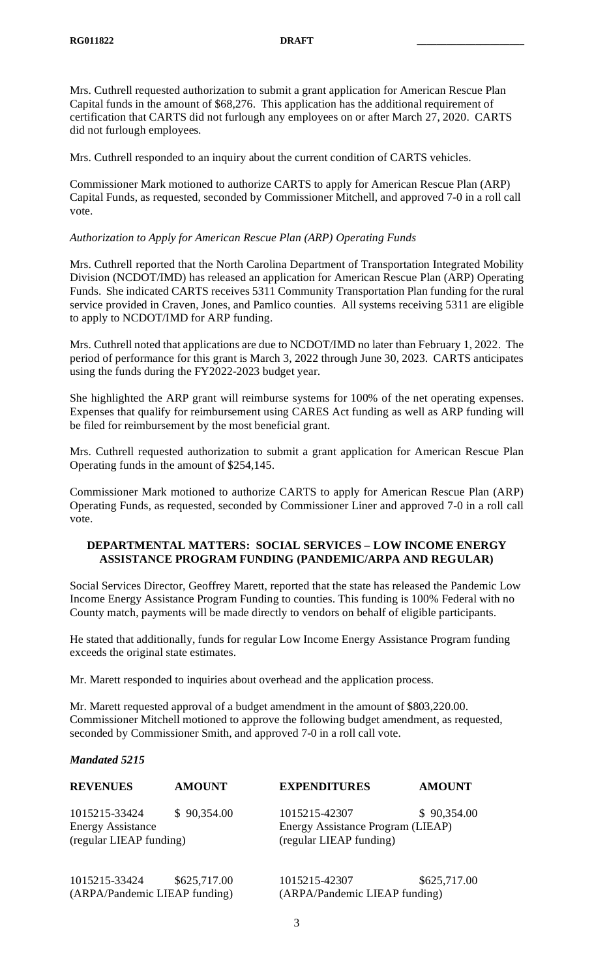Mrs. Cuthrell requested authorization to submit a grant application for American Rescue Plan Capital funds in the amount of \$68,276. This application has the additional requirement of certification that CARTS did not furlough any employees on or after March 27, 2020. CARTS did not furlough employees.

Mrs. Cuthrell responded to an inquiry about the current condition of CARTS vehicles.

Commissioner Mark motioned to authorize CARTS to apply for American Rescue Plan (ARP) Capital Funds, as requested, seconded by Commissioner Mitchell, and approved 7-0 in a roll call vote.

### *Authorization to Apply for American Rescue Plan (ARP) Operating Funds*

Mrs. Cuthrell reported that the North Carolina Department of Transportation Integrated Mobility Division (NCDOT/IMD) has released an application for American Rescue Plan (ARP) Operating Funds. She indicated CARTS receives 5311 Community Transportation Plan funding for the rural service provided in Craven, Jones, and Pamlico counties. All systems receiving 5311 are eligible to apply to NCDOT/IMD for ARP funding.

Mrs. Cuthrell noted that applications are due to NCDOT/IMD no later than February 1, 2022. The period of performance for this grant is March 3, 2022 through June 30, 2023. CARTS anticipates using the funds during the FY2022-2023 budget year.

She highlighted the ARP grant will reimburse systems for 100% of the net operating expenses. Expenses that qualify for reimbursement using CARES Act funding as well as ARP funding will be filed for reimbursement by the most beneficial grant.

Mrs. Cuthrell requested authorization to submit a grant application for American Rescue Plan Operating funds in the amount of \$254,145.

Commissioner Mark motioned to authorize CARTS to apply for American Rescue Plan (ARP) Operating Funds, as requested, seconded by Commissioner Liner and approved 7-0 in a roll call vote.

# **DEPARTMENTAL MATTERS: SOCIAL SERVICES – LOW INCOME ENERGY ASSISTANCE PROGRAM FUNDING (PANDEMIC/ARPA AND REGULAR)**

Social Services Director, Geoffrey Marett, reported that the state has released the Pandemic Low Income Energy Assistance Program Funding to counties. This funding is 100% Federal with no County match, payments will be made directly to vendors on behalf of eligible participants.

He stated that additionally, funds for regular Low Income Energy Assistance Program funding exceeds the original state estimates.

Mr. Marett responded to inquiries about overhead and the application process.

Mr. Marett requested approval of a budget amendment in the amount of \$803,220.00. Commissioner Mitchell motioned to approve the following budget amendment, as requested, seconded by Commissioner Smith, and approved 7-0 in a roll call vote.

#### *Mandated 5215*

| <b>REVENUES</b>                                                      | <b>AMOUNT</b> | <b>EXPENDITURES</b>                                                           | <b>AMOUNT</b> |
|----------------------------------------------------------------------|---------------|-------------------------------------------------------------------------------|---------------|
| 1015215-33424<br><b>Energy Assistance</b><br>(regular LIEAP funding) | \$90,354.00   | 1015215-42307<br>Energy Assistance Program (LIEAP)<br>(regular LIEAP funding) | \$90,354.00   |
| 1015215-33424<br>(ARPA/Pandemic LIEAP funding)                       | \$625,717.00  | 1015215-42307<br>(ARPA/Pandemic LIEAP funding)                                | \$625,717.00  |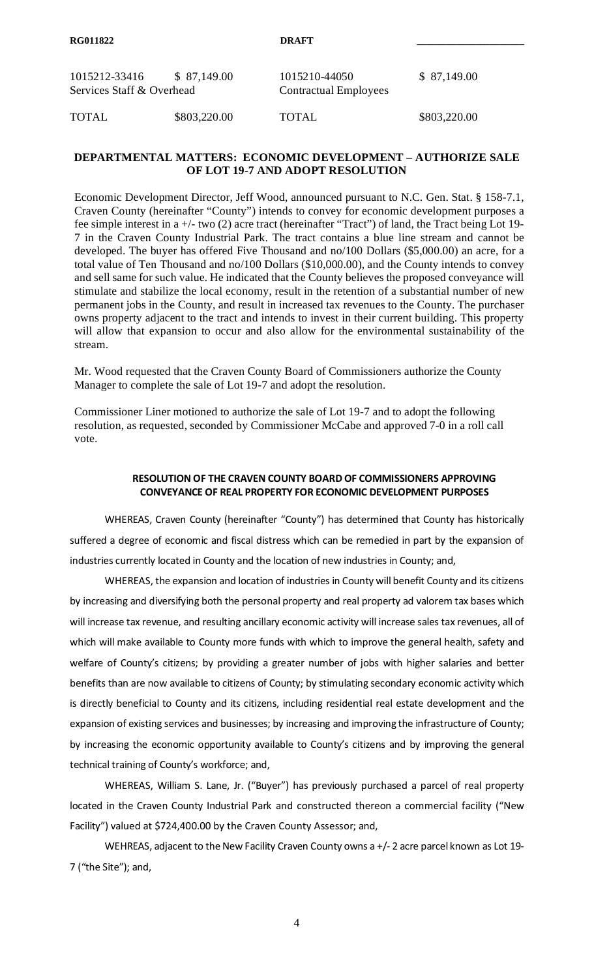| 1015212-33416<br>\$ 87,149.00<br>Services Staff & Overhead |              | 1015210-44050<br><b>Contractual Employees</b> | \$ 87,149.00 |
|------------------------------------------------------------|--------------|-----------------------------------------------|--------------|
| TOTAL                                                      | \$803,220.00 | <b>TOTAL</b>                                  | \$803,220.00 |

# **DEPARTMENTAL MATTERS: ECONOMIC DEVELOPMENT – AUTHORIZE SALE OF LOT 19-7 AND ADOPT RESOLUTION**

Economic Development Director, Jeff Wood, announced pursuant to N.C. Gen. Stat. § 158-7.1, Craven County (hereinafter "County") intends to convey for economic development purposes a fee simple interest in a +/- two (2) acre tract (hereinafter "Tract") of land, the Tract being Lot 19- 7 in the Craven County Industrial Park. The tract contains a blue line stream and cannot be developed. The buyer has offered Five Thousand and no/100 Dollars (\$5,000.00) an acre, for a total value of Ten Thousand and no/100 Dollars (\$10,000.00), and the County intends to convey and sell same for such value. He indicated that the County believes the proposed conveyance will stimulate and stabilize the local economy, result in the retention of a substantial number of new permanent jobs in the County, and result in increased tax revenues to the County. The purchaser owns property adjacent to the tract and intends to invest in their current building. This property will allow that expansion to occur and also allow for the environmental sustainability of the stream.

Mr. Wood requested that the Craven County Board of Commissioners authorize the County Manager to complete the sale of Lot 19-7 and adopt the resolution.

Commissioner Liner motioned to authorize the sale of Lot 19-7 and to adopt the following resolution, as requested, seconded by Commissioner McCabe and approved 7-0 in a roll call vote.

## **RESOLUTION OF THE CRAVEN COUNTY BOARD OF COMMISSIONERS APPROVING CONVEYANCE OF REAL PROPERTY FOR ECONOMIC DEVELOPMENT PURPOSES**

WHEREAS, Craven County (hereinafter "County") has determined that County has historically suffered a degree of economic and fiscal distress which can be remedied in part by the expansion of industries currently located in County and the location of new industries in County; and,

WHEREAS, the expansion and location of industries in County will benefit County and its citizens by increasing and diversifying both the personal property and real property ad valorem tax bases which will increase tax revenue, and resulting ancillary economic activity will increase sales tax revenues, all of which will make available to County more funds with which to improve the general health, safety and welfare of County's citizens; by providing a greater number of jobs with higher salaries and better benefits than are now available to citizens of County; by stimulating secondary economic activity which is directly beneficial to County and its citizens, including residential real estate development and the expansion of existing services and businesses; by increasing and improving the infrastructure of County; by increasing the economic opportunity available to County's citizens and by improving the general technical training of County's workforce; and,

WHEREAS, William S. Lane, Jr. ("Buyer") has previously purchased a parcel of real property located in the Craven County Industrial Park and constructed thereon a commercial facility ("New Facility") valued at \$724,400.00 by the Craven County Assessor; and,

WEHREAS, adjacent to the New Facility Craven County owns a +/- 2 acre parcel known as Lot 19- 7 ("the Site"); and,

4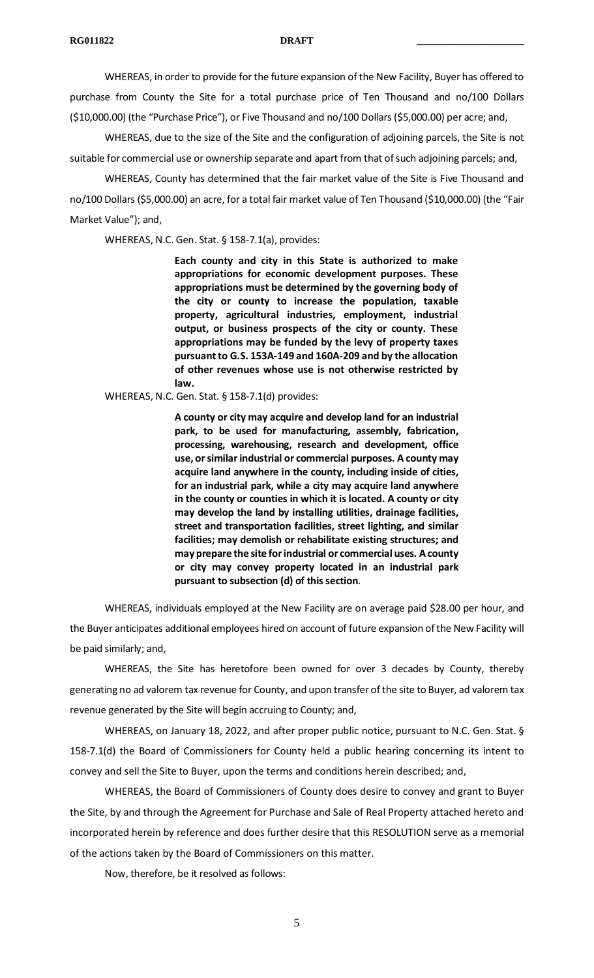WHEREAS, in order to provide for the future expansion of the New Facility, Buyer has offered to purchase from County the Site for a total purchase price of Ten Thousand and no/100 Dollars (\$10,000.00) (the "Purchase Price"), or Five Thousand and no/100 Dollars (\$5,000.00) per acre; and,

WHEREAS, due to the size of the Site and the configuration of adjoining parcels, the Site is not suitable for commercial use or ownership separate and apart from that of such adjoining parcels; and,

WHEREAS, County has determined that the fair market value of the Site is Five Thousand and no/100 Dollars (\$5,000.00) an acre, for a total fair market value of Ten Thousand (\$10,000.00) (the "Fair Market Value"); and,

WHEREAS, N.C. Gen. Stat. § 158-7.1(a), provides:

**Each county and city in this State is authorized to make appropriations for economic development purposes. These appropriations must be determined by the governing body of the city or county to increase the population, taxable property, agricultural industries, employment, industrial output, or business prospects of the city or county. These appropriations may be funded by the levy of property taxes pursuant to G.S. 153A-149 and 160A-209 and by the allocation of other revenues whose use is not otherwise restricted by law.**

WHEREAS, N.C. Gen. Stat. § 158-7.1(d) provides:

**A county or city may acquire and develop land for an industrial park, to be used for manufacturing, assembly, fabrication, processing, warehousing, research and development, office use, or similar industrial or commercial purposes. A county may acquire land anywhere in the county, including inside of cities, for an industrial park, while a city may acquire land anywhere in the county or counties in which it is located. A county or city may develop the land by installing utilities, drainage facilities, street and transportation facilities, street lighting, and similar facilities; may demolish or rehabilitate existing structures; and may prepare the site for industrial or commercial uses. A county or city may convey property located in an industrial park pursuant to subsection (d) of this section**.

WHEREAS, individuals employed at the New Facility are on average paid \$28.00 per hour, and the Buyer anticipates additional employees hired on account of future expansion of the New Facility will be paid similarly; and,

WHEREAS, the Site has heretofore been owned for over 3 decades by County, thereby generating no ad valorem tax revenue for County, and upon transfer of the site to Buyer, ad valorem tax revenue generated by the Site will begin accruing to County; and,

WHEREAS, on January 18, 2022, and after proper public notice, pursuant to N.C. Gen. Stat. § 158-7.1(d) the Board of Commissioners for County held a public hearing concerning its intent to convey and sell the Site to Buyer, upon the terms and conditions herein described; and,

WHEREAS, the Board of Commissioners of County does desire to convey and grant to Buyer the Site, by and through the Agreement for Purchase and Sale of Real Property attached hereto and incorporated herein by reference and does further desire that this RESOLUTION serve as a memorial of the actions taken by the Board of Commissioners on this matter.

Now, therefore, be it resolved as follows: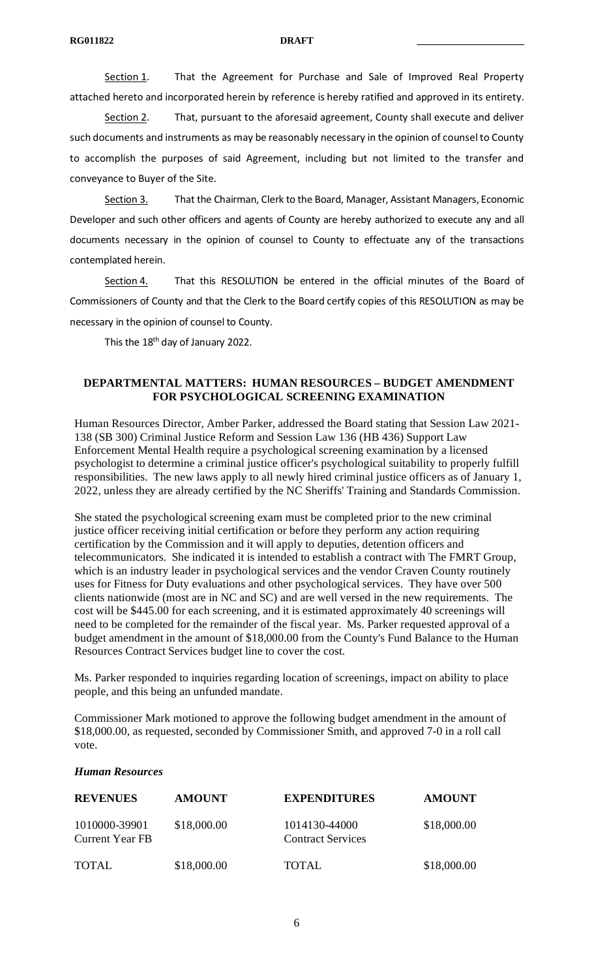Section 1. That the Agreement for Purchase and Sale of Improved Real Property attached hereto and incorporated herein by reference is hereby ratified and approved in its entirety.

Section 2. That, pursuant to the aforesaid agreement, County shall execute and deliver such documents and instruments as may be reasonably necessary in the opinion of counsel to County to accomplish the purposes of said Agreement, including but not limited to the transfer and conveyance to Buyer of the Site.

Section 3. That the Chairman, Clerk to the Board, Manager, Assistant Managers, Economic Developer and such other officers and agents of County are hereby authorized to execute any and all documents necessary in the opinion of counsel to County to effectuate any of the transactions contemplated herein.

Section 4. That this RESOLUTION be entered in the official minutes of the Board of Commissioners of County and that the Clerk to the Board certify copies of this RESOLUTION as may be necessary in the opinion of counsel to County.

This the 18<sup>th</sup> day of January 2022.

# **DEPARTMENTAL MATTERS: HUMAN RESOURCES – BUDGET AMENDMENT FOR PSYCHOLOGICAL SCREENING EXAMINATION**

Human Resources Director, Amber Parker, addressed the Board stating that Session Law 2021- 138 (SB 300) Criminal Justice Reform and Session Law 136 (HB 436) Support Law Enforcement Mental Health require a psychological screening examination by a licensed psychologist to determine a criminal justice officer's psychological suitability to properly fulfill responsibilities. The new laws apply to all newly hired criminal justice officers as of January 1, 2022, unless they are already certified by the NC Sheriffs' Training and Standards Commission.

She stated the psychological screening exam must be completed prior to the new criminal justice officer receiving initial certification or before they perform any action requiring certification by the Commission and it will apply to deputies, detention officers and telecommunicators. She indicated it is intended to establish a contract with The FMRT Group, which is an industry leader in psychological services and the vendor Craven County routinely uses for Fitness for Duty evaluations and other psychological services. They have over 500 clients nationwide (most are in NC and SC) and are well versed in the new requirements. The cost will be \$445.00 for each screening, and it is estimated approximately 40 screenings will need to be completed for the remainder of the fiscal year. Ms. Parker requested approval of a budget amendment in the amount of \$18,000.00 from the County's Fund Balance to the Human Resources Contract Services budget line to cover the cost.

Ms. Parker responded to inquiries regarding location of screenings, impact on ability to place people, and this being an unfunded mandate.

Commissioner Mark motioned to approve the following budget amendment in the amount of \$18,000.00, as requested, seconded by Commissioner Smith, and approved 7-0 in a roll call vote.

#### *Human Resources*

| <b>REVENUES</b>                         | <b>AMOUNT</b> | <b>EXPENDITURES</b>                       | <b>AMOUNT</b> |
|-----------------------------------------|---------------|-------------------------------------------|---------------|
| 1010000-39901<br><b>Current Year FB</b> | \$18,000.00   | 1014130-44000<br><b>Contract Services</b> | \$18,000.00   |
| <b>TOTAL</b>                            | \$18,000.00   | <b>TOTAL</b>                              | \$18,000.00   |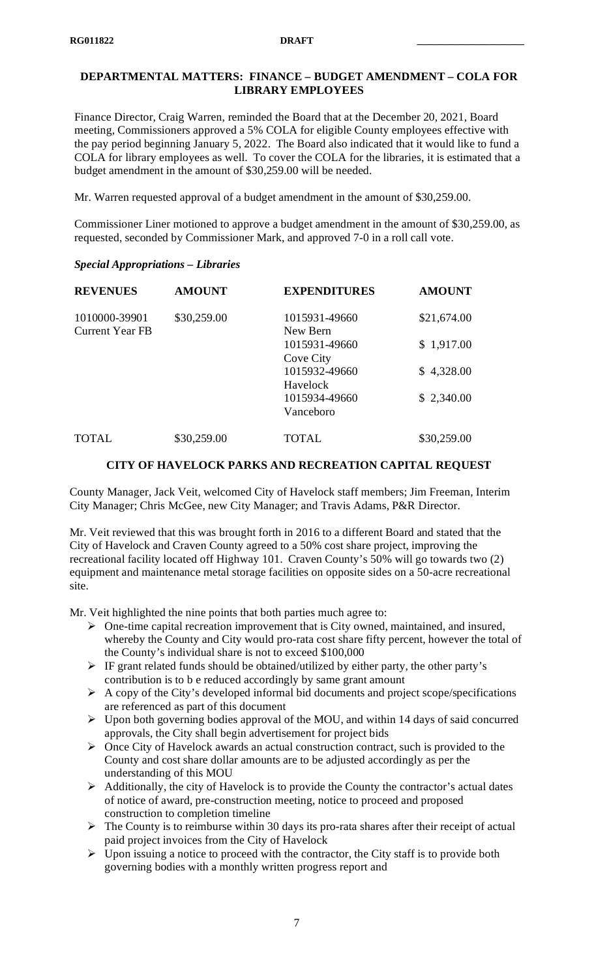# **DEPARTMENTAL MATTERS: FINANCE – BUDGET AMENDMENT – COLA FOR LIBRARY EMPLOYEES**

Finance Director, Craig Warren, reminded the Board that at the December 20, 2021, Board meeting, Commissioners approved a 5% COLA for eligible County employees effective with the pay period beginning January 5, 2022. The Board also indicated that it would like to fund a COLA for library employees as well. To cover the COLA for the libraries, it is estimated that a budget amendment in the amount of \$30,259.00 will be needed.

Mr. Warren requested approval of a budget amendment in the amount of \$30,259.00.

Commissioner Liner motioned to approve a budget amendment in the amount of \$30,259.00, as requested, seconded by Commissioner Mark, and approved 7-0 in a roll call vote.

## *Special Appropriations – Libraries*

| <b>REVENUES</b>        | <b>AMOUNT</b> | <b>EXPENDITURES</b> | <b>AMOUNT</b> |
|------------------------|---------------|---------------------|---------------|
| 1010000-39901          | \$30,259.00   | 1015931-49660       | \$21,674.00   |
| <b>Current Year FB</b> |               | New Bern            |               |
|                        |               | 1015931-49660       | \$1,917.00    |
|                        |               | <b>Cove City</b>    |               |
|                        |               | 1015932-49660       | \$4,328.00    |
|                        |               | Havelock            |               |
|                        |               | 1015934-49660       | \$2,340.00    |
|                        |               | Vanceboro           |               |
| <b>TOTAL</b>           | \$30,259.00   | TOTAL               | \$30,259.00   |

# **CITY OF HAVELOCK PARKS AND RECREATION CAPITAL REQUEST**

County Manager, Jack Veit, welcomed City of Havelock staff members; Jim Freeman, Interim City Manager; Chris McGee, new City Manager; and Travis Adams, P&R Director.

Mr. Veit reviewed that this was brought forth in 2016 to a different Board and stated that the City of Havelock and Craven County agreed to a 50% cost share project, improving the recreational facility located off Highway 101. Craven County's 50% will go towards two (2) equipment and maintenance metal storage facilities on opposite sides on a 50-acre recreational site.

Mr. Veit highlighted the nine points that both parties much agree to:

- $\triangleright$  One-time capital recreation improvement that is City owned, maintained, and insured, whereby the County and City would pro-rata cost share fifty percent, however the total of the County's individual share is not to exceed \$100,000
- $\triangleright$  IF grant related funds should be obtained/utilized by either party, the other party's contribution is to b e reduced accordingly by same grant amount
- $\triangleright$  A copy of the City's developed informal bid documents and project scope/specifications are referenced as part of this document
- $\triangleright$  Upon both governing bodies approval of the MOU, and within 14 days of said concurred approvals, the City shall begin advertisement for project bids
- $\triangleright$  Once City of Havelock awards an actual construction contract, such is provided to the County and cost share dollar amounts are to be adjusted accordingly as per the understanding of this MOU
- $\triangleright$  Additionally, the city of Havelock is to provide the County the contractor's actual dates of notice of award, pre-construction meeting, notice to proceed and proposed construction to completion timeline
- $\triangleright$  The County is to reimburse within 30 days its pro-rata shares after their receipt of actual paid project invoices from the City of Havelock
- $\triangleright$  Upon issuing a notice to proceed with the contractor, the City staff is to provide both governing bodies with a monthly written progress report and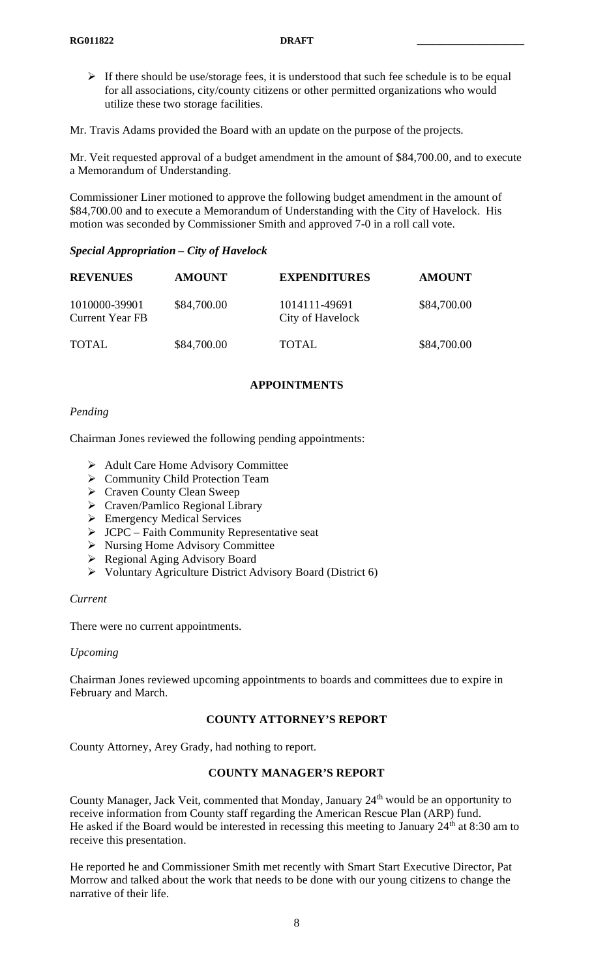$\triangleright$  If there should be use/storage fees, it is understood that such fee schedule is to be equal for all associations, city/county citizens or other permitted organizations who would utilize these two storage facilities.

Mr. Travis Adams provided the Board with an update on the purpose of the projects.

Mr. Veit requested approval of a budget amendment in the amount of \$84,700.00, and to execute a Memorandum of Understanding.

Commissioner Liner motioned to approve the following budget amendment in the amount of \$84,700.00 and to execute a Memorandum of Understanding with the City of Havelock. His motion was seconded by Commissioner Smith and approved 7-0 in a roll call vote.

### *Special Appropriation – City of Havelock*

| <b>REVENUES</b>                         | <b>AMOUNT</b> | <b>EXPENDITURES</b>               | <b>AMOUNT</b> |
|-----------------------------------------|---------------|-----------------------------------|---------------|
| 1010000-39901<br><b>Current Year FB</b> | \$84,700.00   | 1014111-49691<br>City of Havelock | \$84,700.00   |
| <b>TOTAL</b>                            | \$84,700.00   | <b>TOTAL</b>                      | \$84,700.00   |

#### **APPOINTMENTS**

### *Pending*

Chairman Jones reviewed the following pending appointments:

- ▶ Adult Care Home Advisory Committee
- ▶ Community Child Protection Team
- ▶ Craven County Clean Sweep
- Craven/Pamlico Regional Library
- **Emergency Medical Services**
- $\triangleright$  JCPC Faith Community Representative seat
- ▶ Nursing Home Advisory Committee
- Regional Aging Advisory Board
- Voluntary Agriculture District Advisory Board (District 6)

#### *Current*

There were no current appointments.

#### *Upcoming*

Chairman Jones reviewed upcoming appointments to boards and committees due to expire in February and March.

#### **COUNTY ATTORNEY'S REPORT**

County Attorney, Arey Grady, had nothing to report.

## **COUNTY MANAGER'S REPORT**

County Manager, Jack Veit, commented that Monday, January 24<sup>th</sup> would be an opportunity to receive information from County staff regarding the American Rescue Plan (ARP) fund. He asked if the Board would be interested in recessing this meeting to January 24<sup>th</sup> at 8:30 am to receive this presentation.

He reported he and Commissioner Smith met recently with Smart Start Executive Director, Pat Morrow and talked about the work that needs to be done with our young citizens to change the narrative of their life.